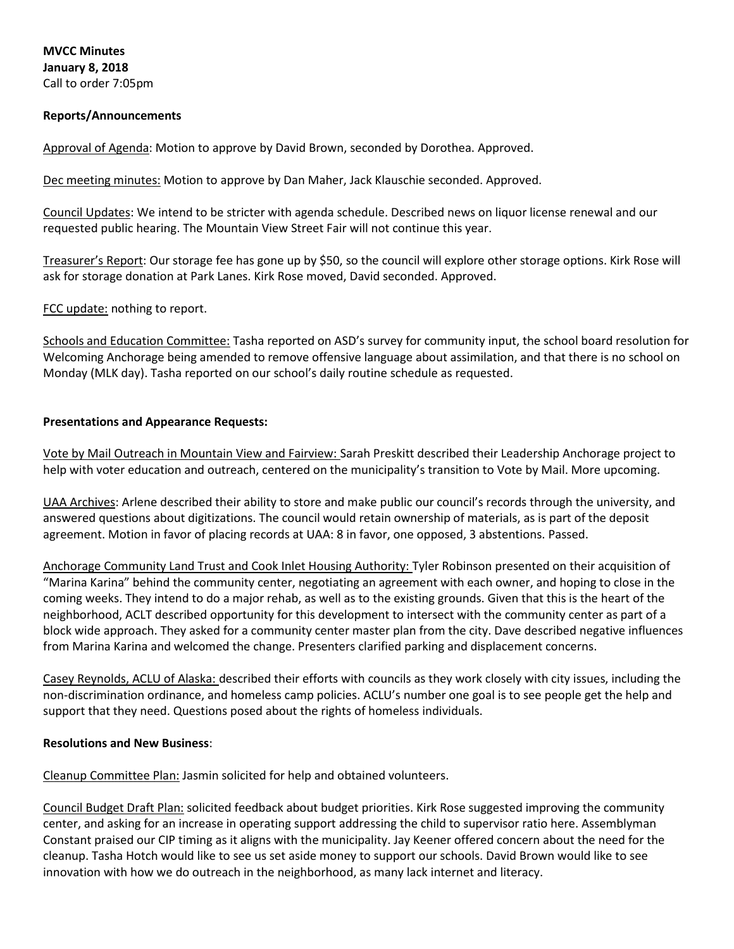**MVCC Minutes January 8, 2018** Call to order 7:05pm

### **Reports/Announcements**

Approval of Agenda: Motion to approve by David Brown, seconded by Dorothea. Approved.

Dec meeting minutes: Motion to approve by Dan Maher, Jack Klauschie seconded. Approved.

Council Updates: We intend to be stricter with agenda schedule. Described news on liquor license renewal and our requested public hearing. The Mountain View Street Fair will not continue this year.

Treasurer's Report: Our storage fee has gone up by \$50, so the council will explore other storage options. Kirk Rose will ask for storage donation at Park Lanes. Kirk Rose moved, David seconded. Approved.

FCC update: nothing to report.

Schools and Education Committee: Tasha reported on ASD's survey for community input, the school board resolution for Welcoming Anchorage being amended to remove offensive language about assimilation, and that there is no school on Monday (MLK day). Tasha reported on our school's daily routine schedule as requested.

#### **Presentations and Appearance Requests:**

Vote by Mail Outreach in Mountain View and Fairview: Sarah Preskitt described their Leadership Anchorage project to help with voter education and outreach, centered on the municipality's transition to Vote by Mail. More upcoming.

UAA Archives: Arlene described their ability to store and make public our council's records through the university, and answered questions about digitizations. The council would retain ownership of materials, as is part of the deposit agreement. Motion in favor of placing records at UAA: 8 in favor, one opposed, 3 abstentions. Passed.

Anchorage Community Land Trust and Cook Inlet Housing Authority: Tyler Robinson presented on their acquisition of "Marina Karina" behind the community center, negotiating an agreement with each owner, and hoping to close in the coming weeks. They intend to do a major rehab, as well as to the existing grounds. Given that this is the heart of the neighborhood, ACLT described opportunity for this development to intersect with the community center as part of a block wide approach. They asked for a community center master plan from the city. Dave described negative influences from Marina Karina and welcomed the change. Presenters clarified parking and displacement concerns.

Casey Reynolds, ACLU of Alaska: described their efforts with councils as they work closely with city issues, including the non-discrimination ordinance, and homeless camp policies. ACLU's number one goal is to see people get the help and support that they need. Questions posed about the rights of homeless individuals.

#### **Resolutions and New Business**:

Cleanup Committee Plan: Jasmin solicited for help and obtained volunteers.

Council Budget Draft Plan: solicited feedback about budget priorities. Kirk Rose suggested improving the community center, and asking for an increase in operating support addressing the child to supervisor ratio here. Assemblyman Constant praised our CIP timing as it aligns with the municipality. Jay Keener offered concern about the need for the cleanup. Tasha Hotch would like to see us set aside money to support our schools. David Brown would like to see innovation with how we do outreach in the neighborhood, as many lack internet and literacy.